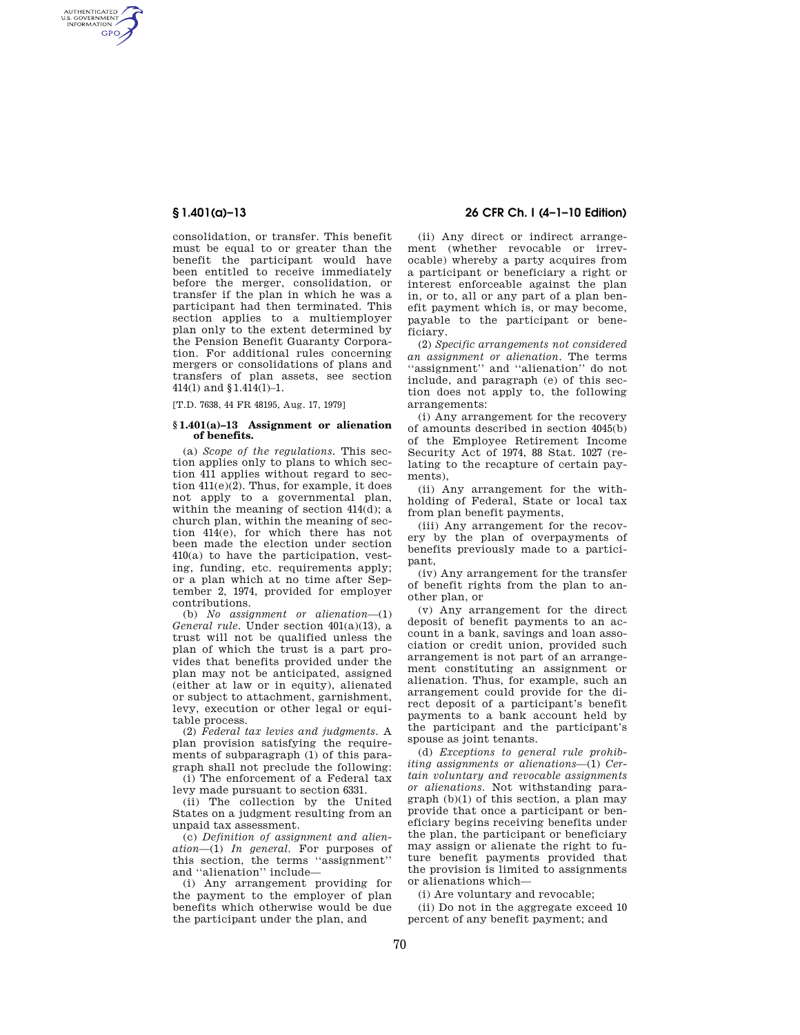AUTHENTICATED<br>U.S. GOVERNMENT<br>INFORMATION **GPO** 

> consolidation, or transfer. This benefit must be equal to or greater than the benefit the participant would have been entitled to receive immediately before the merger, consolidation, or transfer if the plan in which he was a participant had then terminated. This section applies to a multiemployer plan only to the extent determined by the Pension Benefit Guaranty Corporation. For additional rules concerning mergers or consolidations of plans and transfers of plan assets, see section 414(l) and §1.414(l)–1.

[T.D. 7638, 44 FR 48195, Aug. 17, 1979]

### **§ 1.401(a)–13 Assignment or alienation of benefits.**

(a) *Scope of the regulations.* This section applies only to plans to which section 411 applies without regard to section 411(e)(2). Thus, for example, it does not apply to a governmental plan, within the meaning of section 414(d); a church plan, within the meaning of section 414(e), for which there has not been made the election under section 410(a) to have the participation, vesting, funding, etc. requirements apply; or a plan which at no time after September 2, 1974, provided for employer contributions.

(b) *No assignment or alienation*—(1) *General rule.* Under section 401(a)(13), a trust will not be qualified unless the plan of which the trust is a part provides that benefits provided under the plan may not be anticipated, assigned (either at law or in equity), alienated or subject to attachment, garnishment, levy, execution or other legal or equitable process.

(2) *Federal tax levies and judgments.* A plan provision satisfying the requirements of subparagraph (1) of this paragraph shall not preclude the following:

(i) The enforcement of a Federal tax levy made pursuant to section 6331.

(ii) The collection by the United States on a judgment resulting from an unpaid tax assessment.

(c) *Definition of assignment and alienation*—(1) *In general.* For purposes of this section, the terms ''assignment'' and ''alienation'' include—

(i) Any arrangement providing for the payment to the employer of plan benefits which otherwise would be due the participant under the plan, and

# **§ 1.401(a)–13 26 CFR Ch. I (4–1–10 Edition)**

(ii) Any direct or indirect arrangement (whether revocable or irrevocable) whereby a party acquires from a participant or beneficiary a right or interest enforceable against the plan in, or to, all or any part of a plan benefit payment which is, or may become, payable to the participant or beneficiary.

(2) *Specific arrangements not considered an assignment or alienation.* The terms ''assignment'' and ''alienation'' do not include, and paragraph (e) of this section does not apply to, the following arrangements:

(i) Any arrangement for the recovery of amounts described in section 4045(b) of the Employee Retirement Income Security Act of 1974, 88 Stat. 1027 (relating to the recapture of certain payments),

(ii) Any arrangement for the withholding of Federal, State or local tax from plan benefit payments,

(iii) Any arrangement for the recovery by the plan of overpayments of benefits previously made to a participant,

(iv) Any arrangement for the transfer of benefit rights from the plan to another plan, or

(v) Any arrangement for the direct deposit of benefit payments to an account in a bank, savings and loan association or credit union, provided such arrangement is not part of an arrangement constituting an assignment or alienation. Thus, for example, such an arrangement could provide for the direct deposit of a participant's benefit payments to a bank account held by the participant and the participant's spouse as joint tenants.

(d) *Exceptions to general rule prohibiting assignments or alienations*—(1) *Certain voluntary and revocable assignments or alienations.* Not withstanding paragraph (b)(1) of this section, a plan may provide that once a participant or beneficiary begins receiving benefits under the plan, the participant or beneficiary may assign or alienate the right to future benefit payments provided that the provision is limited to assignments or alienations which—

(i) Are voluntary and revocable;

(ii) Do not in the aggregate exceed 10 percent of any benefit payment; and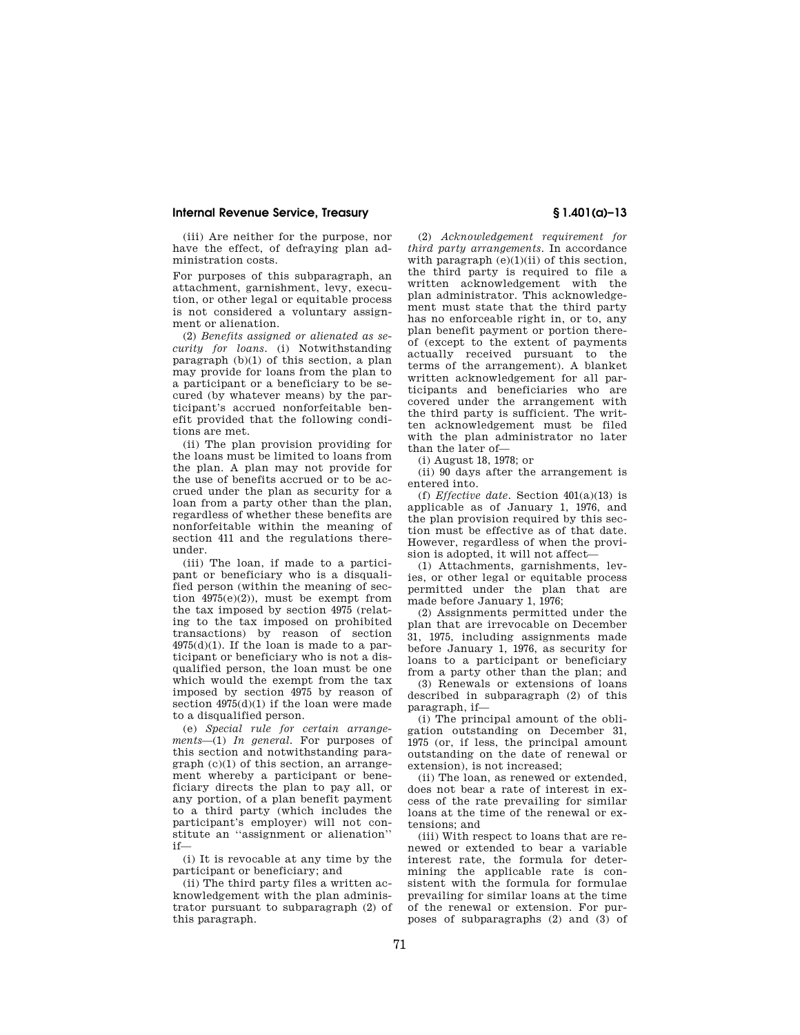## **Internal Revenue Service, Treasury § 1.401(a)–13**

(iii) Are neither for the purpose, nor have the effect, of defraying plan administration costs.

For purposes of this subparagraph, an attachment, garnishment, levy, execution, or other legal or equitable process is not considered a voluntary assignment or alienation.

(2) *Benefits assigned or alienated as security for loans.* (i) Notwithstanding paragraph (b)(1) of this section, a plan may provide for loans from the plan to a participant or a beneficiary to be secured (by whatever means) by the participant's accrued nonforfeitable benefit provided that the following conditions are met.

(ii) The plan provision providing for the loans must be limited to loans from the plan. A plan may not provide for the use of benefits accrued or to be accrued under the plan as security for a loan from a party other than the plan, regardless of whether these benefits are nonforfeitable within the meaning of section 411 and the regulations thereunder.

(iii) The loan, if made to a participant or beneficiary who is a disqualified person (within the meaning of section 4975(e)(2)), must be exempt from the tax imposed by section 4975 (relating to the tax imposed on prohibited transactions) by reason of section  $4975(d)(1)$ . If the loan is made to a participant or beneficiary who is not a disqualified person, the loan must be one which would the exempt from the tax imposed by section 4975 by reason of section  $4975(d)(1)$  if the loan were made to a disqualified person.

(e) *Special rule for certain arrangements*—(1) *In general.* For purposes of this section and notwithstanding paragraph (c)(1) of this section, an arrangement whereby a participant or beneficiary directs the plan to pay all, or any portion, of a plan benefit payment to a third party (which includes the participant's employer) will not constitute an ''assignment or alienation'' if—

(i) It is revocable at any time by the participant or beneficiary; and

(ii) The third party files a written acknowledgement with the plan administrator pursuant to subparagraph (2) of this paragraph.

(2) *Acknowledgement requirement for third party arrangements.* In accordance with paragraph  $(e)(1)(ii)$  of this section, the third party is required to file a written acknowledgement with the plan administrator. This acknowledgement must state that the third party has no enforceable right in, or to, any plan benefit payment or portion thereof (except to the extent of payments actually received pursuant to the terms of the arrangement). A blanket written acknowledgement for all participants and beneficiaries who are covered under the arrangement with the third party is sufficient. The written acknowledgement must be filed with the plan administrator no later than the later of—

(i) August 18, 1978; or

(ii) 90 days after the arrangement is entered into.

(f) *Effective date.* Section 401(a)(13) is applicable as of January 1, 1976, and the plan provision required by this section must be effective as of that date. However, regardless of when the provision is adopted, it will not affect—

(1) Attachments, garnishments, levies, or other legal or equitable process permitted under the plan that are made before January 1, 1976;

(2) Assignments permitted under the plan that are irrevocable on December 31, 1975, including assignments made before January 1, 1976, as security for loans to a participant or beneficiary from a party other than the plan; and

(3) Renewals or extensions of loans described in subparagraph (2) of this paragraph, if—

(i) The principal amount of the obligation outstanding on December 31, 1975 (or, if less, the principal amount outstanding on the date of renewal or extension), is not increased;

(ii) The loan, as renewed or extended, does not bear a rate of interest in excess of the rate prevailing for similar loans at the time of the renewal or extensions; and

(iii) With respect to loans that are renewed or extended to bear a variable interest rate, the formula for determining the applicable rate is consistent with the formula for formulae prevailing for similar loans at the time of the renewal or extension. For purposes of subparagraphs (2) and (3) of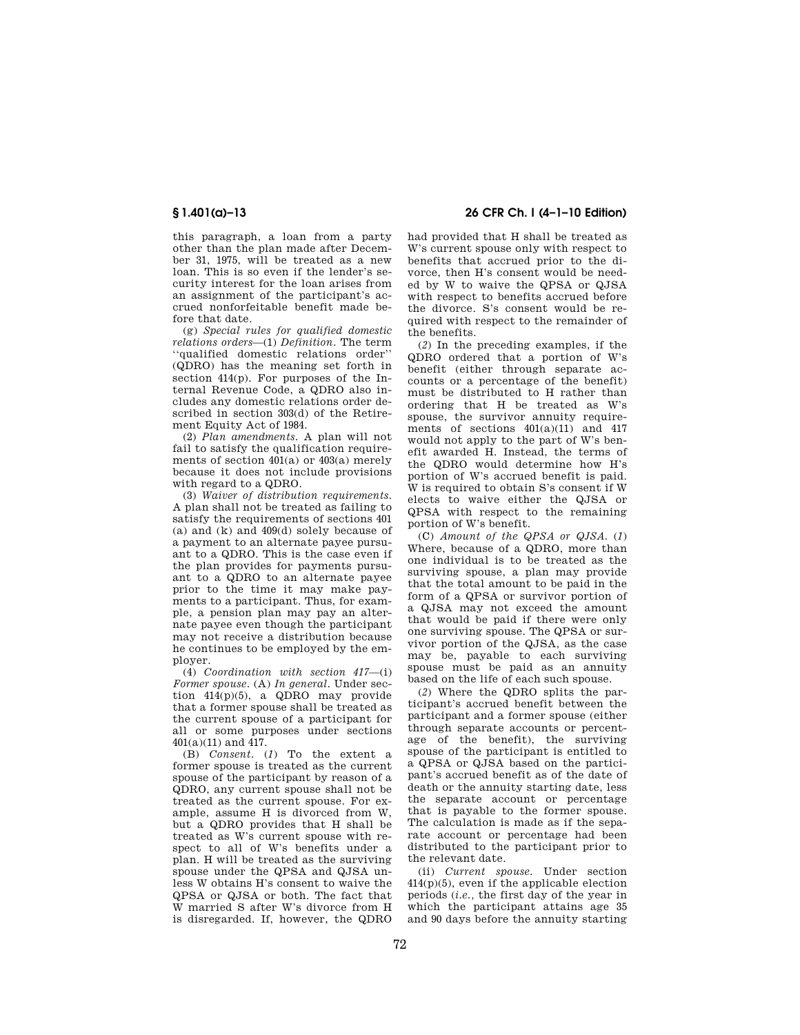this paragraph, a loan from a party other than the plan made after December 31, 1975, will be treated as a new loan. This is so even if the lender's security interest for the loan arises from an assignment of the participant's accrued nonforfeitable benefit made before that date.

(g) *Special rules for qualified domestic relations orders*—(1) *Definition.* The term ''qualified domestic relations order'' (QDRO) has the meaning set forth in section 414(p). For purposes of the Internal Revenue Code, a QDRO also includes any domestic relations order described in section 303(d) of the Retirement Equity Act of 1984.

(2) *Plan amendments.* A plan will not fail to satisfy the qualification requirements of section  $401(a)$  or  $403(a)$  merely because it does not include provisions with regard to a QDRO.

(3) *Waiver of distribution requirements.*  A plan shall not be treated as failing to satisfy the requirements of sections 401 (a) and (k) and 409(d) solely because of a payment to an alternate payee pursuant to a QDRO. This is the case even if the plan provides for payments pursuant to a QDRO to an alternate payee prior to the time it may make payments to a participant. Thus, for example, a pension plan may pay an alternate payee even though the participant may not receive a distribution because he continues to be employed by the employer.

(4) *Coordination with section 417*—(i) *Former spouse.* (A) *In general.* Under section  $414(p)(5)$ , a QDRO may provide that a former spouse shall be treated as the current spouse of a participant for all or some purposes under sections 401(a)(11) and 417.

(B) *Consent.* (*1*) To the extent a former spouse is treated as the current spouse of the participant by reason of a QDRO, any current spouse shall not be treated as the current spouse. For example, assume H is divorced from W, but a QDRO provides that H shall be treated as W's current spouse with respect to all of W's benefits under a plan. H will be treated as the surviving spouse under the QPSA and QJSA unless W obtains H's consent to waive the QPSA or QJSA or both. The fact that W married S after W's divorce from H is disregarded. If, however, the QDRO

# **§ 1.401(a)–13 26 CFR Ch. I (4–1–10 Edition)**

had provided that H shall be treated as W's current spouse only with respect to benefits that accrued prior to the divorce, then H's consent would be needed by W to waive the QPSA or QJSA with respect to benefits accrued before the divorce. S's consent would be required with respect to the remainder of the benefits.

(*2*) In the preceding examples, if the QDRO ordered that a portion of W's benefit (either through separate accounts or a percentage of the benefit) must be distributed to H rather than ordering that H be treated as W's spouse, the survivor annuity requirements of sections 401(a)(11) and 417 would not apply to the part of W's benefit awarded H. Instead, the terms of the QDRO would determine how H's portion of W's accrued benefit is paid. W is required to obtain S's consent if W elects to waive either the QJSA or QPSA with respect to the remaining portion of W's benefit.

(C) *Amount of the QPSA or QJSA.* (*1*) Where, because of a QDRO, more than one individual is to be treated as the surviving spouse, a plan may provide that the total amount to be paid in the form of a QPSA or survivor portion of a QJSA may not exceed the amount that would be paid if there were only one surviving spouse. The QPSA or survivor portion of the QJSA, as the case may be, payable to each surviving spouse must be paid as an annuity based on the life of each such spouse.

(*2*) Where the QDRO splits the participant's accrued benefit between the participant and a former spouse (either through separate accounts or percentage of the benefit), the surviving spouse of the participant is entitled to a QPSA or QJSA based on the participant's accrued benefit as of the date of death or the annuity starting date, less the separate account or percentage that is payable to the former spouse. The calculation is made as if the separate account or percentage had been distributed to the participant prior to the relevant date.

(ii) *Current spouse.* Under section  $414(p)(5)$ , even if the applicable election periods (*i.e.,* the first day of the year in which the participant attains age 35 and 90 days before the annuity starting